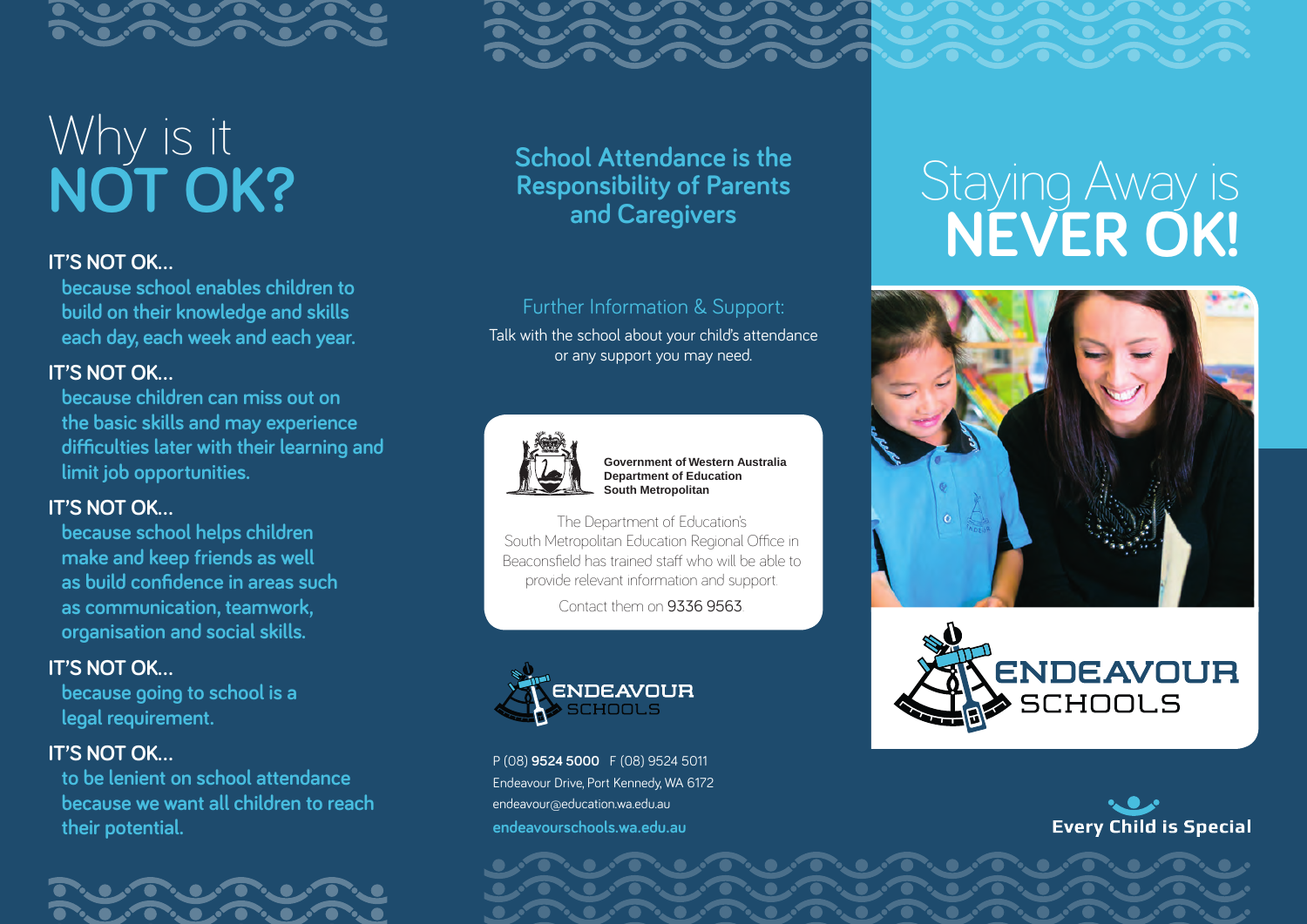

# Why is it

#### **IT'S NOT OK...**

**because school enables children to build on their knowledge and skills each day, each week and each year.**

#### **IT'S NOT OK...**

**because children can miss out on the basic skills and may experience difficulties later with their learning and limit job opportunities.**

#### **IT'S NOT OK...**

**because school helps children make and keep friends as well as build confidence in areas such as communication, teamwork, organisation and social skills.**

#### **IT'S NOT OK...**

**because going to school is a legal requirement.**

#### **IT'S NOT OK...**

**to be lenient on school attendance because we want all children to reach their potential.**



**NOT OK?** School Attendance is the<br> **NOT OK?** Responsibility of Parents<br>
and Caregivers **Responsibility of Parents and Caregivers**

#### Further Information & Support:

Talk with the school about your child's attendance or any support you may need.



**Government of Western Australia Department of Education South Metropolitan**

The Department of Education's South Metropolitan Education Regional Office in Beaconsfield has trained staff who will be able to provide relevant information and support.

Contact them on 9336 9563.



P (08) **9524 5000** F (08) 9524 5011 Endeavour Drive, Port Kennedy, WA 6172 endeavour@education.wa.edu.au **endeavourschools.wa.edu.au**

# Staying Away is **NEVER OK!**